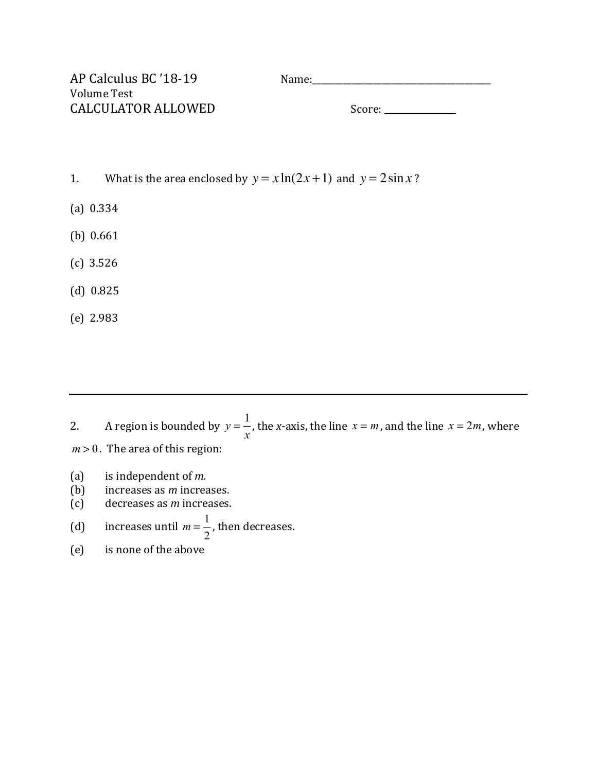| AP Calculus BC '18-19 | Name:  |
|-----------------------|--------|
| Volume Test           |        |
| CALCULATOR ALLOWED    | Score: |

- 1. What is the area enclosed by  $y = x \ln(2x+1)$  and  $y = 2 \sin x$ ?
- (a) 0.334
- $(b)$  0.661
- $(c)$  3.526
- $(d)$  0.825
- (e) 2.983

2. A region is bounded by  $y = \frac{1}{x}$ , the x-axis, the line  $x = m$  , and the line  $x = 2m$  , where  $m > 0$ . The area of this region: *x*  $x = m$ , and the line  $x = 2m$ 

- (a) is independent of  $m$ .
- (b) increases as *m* increases.
- (c) decreases as *m* increases.

(d) increases until 
$$
m = \frac{1}{2}
$$
, then decreases.

(e) is none of the above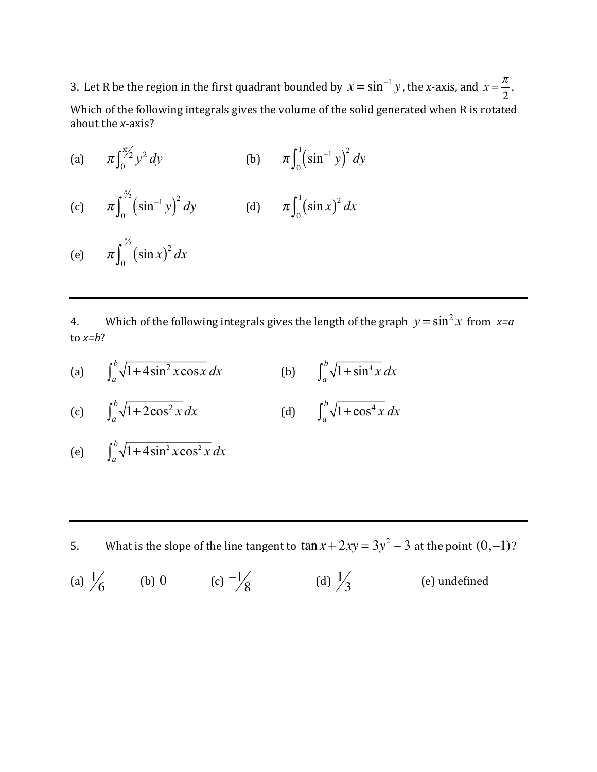3. Let R be the region in the first quadrant bounded by  $x = \sin^{-1} y$ , the *x*-axis, and  $x = \frac{\pi}{2}$ .

Which of the following integrals gives the volume of the solid generated when R is rotated about the *x*-axis?

- (a)  $\pi \int_0^{\pi/2} y^2 dy$  (b)  $\int_0^{\pi/2} y^2 dy$  (b)  $\pi \int_0^1 (\sin^{-1} y)^2 dy$
- (c)  $\pi \int_0^{\pi/2} (\sin^{-1} y)^2 dy$  (d)  $\frac{\pi}{2}$  $\int_0^{\infty} (\sin^{-1} y)^2 dy$  (d)  $\pi \int_0^1 (\sin x)^2 dx$  $\int_0^1$
- (e)  $\pi \int_0^{\pi} (\sin x)^2 dx$  $\frac{\pi}{2}$ ∫

4. Which of the following integrals gives the length of the graph  $y = \sin^2 x$  from  $x=a$ to  $x=b$ ?

(a)  $\int_{a}^{b} \sqrt{1+4\sin^{2}x \cos x} \, dx$  (b)  $\int_{a}^{b} \sqrt{1+\sin^{4}x} \, dx$ 

(c) 
$$
\int_{a}^{b} \sqrt{1 + 2\cos^{2} x} \, dx
$$
 (d)  $\int_{a}^{b} \sqrt{1 + \cos^{4} x} \, dx$ 

$$
\text{(e)} \qquad \int_{a}^{b} \sqrt{1 + 4\sin^2 x \cos^2 x} \, dx
$$

5. What is the slope of the line tangent to  $\tan x + 2xy = 3y^2 - 3$  at the point  $(0,-1)$ ?

(a)  $\frac{1}{6}$  (b) 0 (c)  $\frac{-1}{8}$  (d)  $\frac{1}{3}$  (e) undefined (a)  $\frac{1}{6}$ 1 3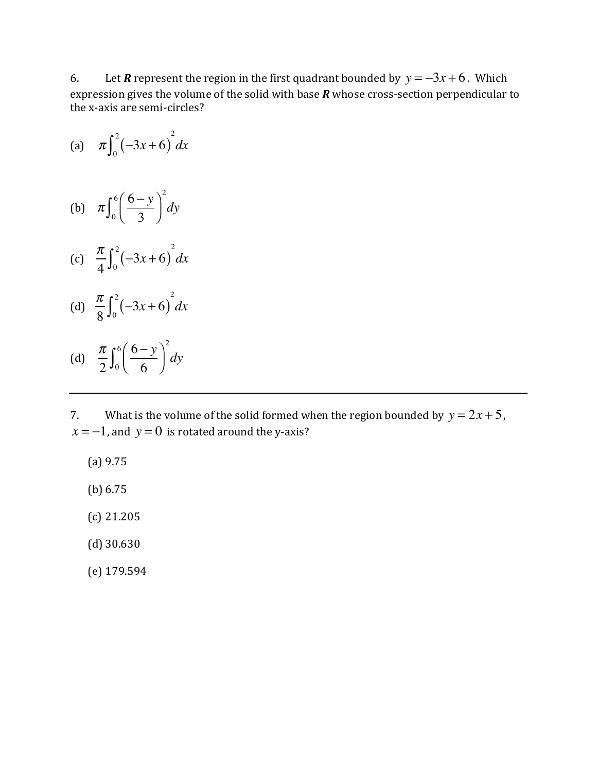6. Let *R* represent the region in the first quadrant bounded by  $y = -3x + 6$ . Which expression gives the volume of the solid with base  *whose cross-section perpendicular to* the x-axis are semi-circles?

(a) 
$$
\pi \int_0^2 (-3x+6)^2 dx
$$

- (b)  $\pi \int_{0}^{6} \left( \frac{6-y}{2} \right)$ 3  $\sqrt{}$  $\frac{6}{0} \left( \frac{6-y}{3} \right)$  $\int_0^6$ 2 *dy*
- (c)  $\frac{\pi}{4} \int_0^2 (-3x+6)^2 dx$
- (d)  $\frac{\pi}{8} \int_0^2 (-3x+6)^2 dx$

(d) 
$$
\frac{\pi}{2} \int_0^6 \left( \frac{6-y}{6} \right)^2 dy
$$

7. What is the volume of the solid formed when the region bounded by  $y = 2x + 5$ ,  $x = -1$ , and  $y = 0$  is rotated around the y-axis?

- (a) 9.75
- (b) 6.75
- (c) 21.205
- (d) 30.630
- (e) 179.594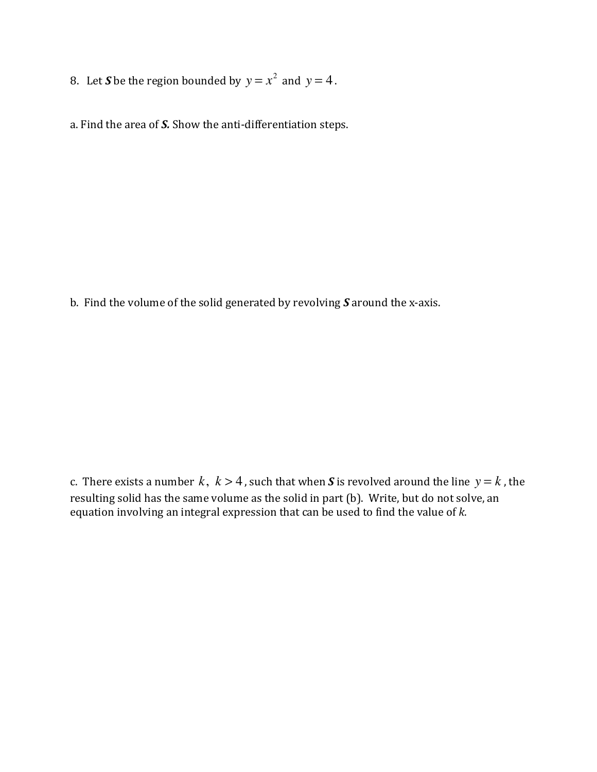8. Let *S* be the region bounded by  $y = x^2$  and  $y = 4$ .

a. Find the area of S. Show the anti-differentiation steps.

b. Find the volume of the solid generated by revolving S around the x-axis.

c. There exists a number  $k, k > 4$  , such that when  $\boldsymbol{S}$  is revolved around the line  $y = k$  , the resulting solid has the same volume as the solid in part (b). Write, but do not solve, an equation involving an integral expression that can be used to find the value of  $k$ .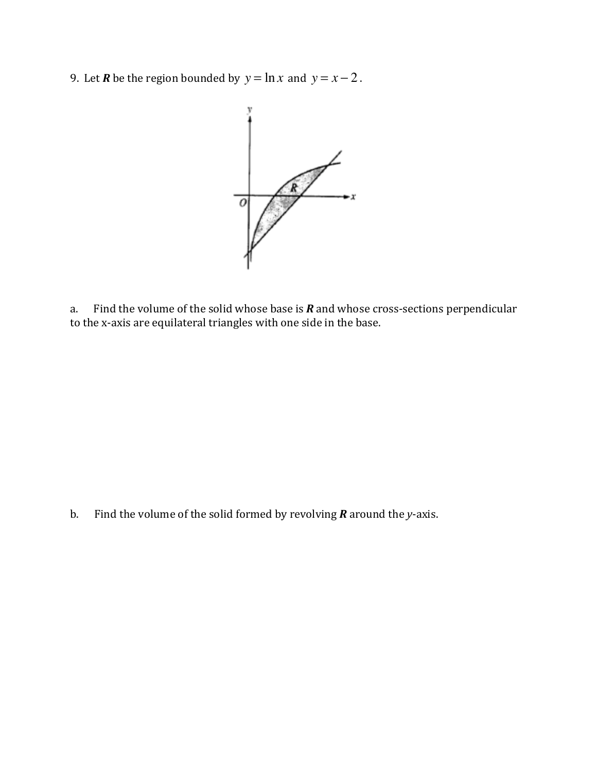9. Let *R* be the region bounded by  $y = \ln x$  and  $y = x - 2$ .



a. Find the volume of the solid whose base is  *and whose cross-sections perpendicular* to the x-axis are equilateral triangles with one side in the base.

b. Find the volume of the solid formed by revolving  *around the <i>y*-axis.